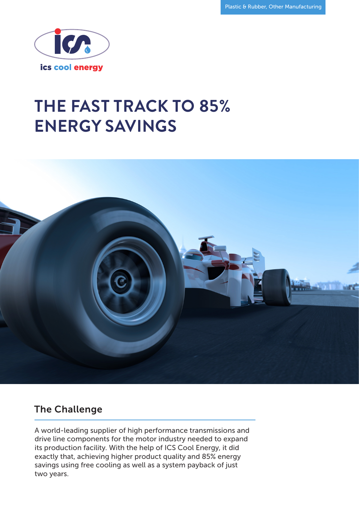

# **THE FAST TRACK TO 85% ENERGY SAVINGS**



#### The Challenge

A world-leading supplier of high performance transmissions and drive line components for the motor industry needed to expand its production facility. With the help of ICS Cool Energy, it did exactly that, achieving higher product quality and 85% energy savings using free cooling as well as a system payback of just two years.